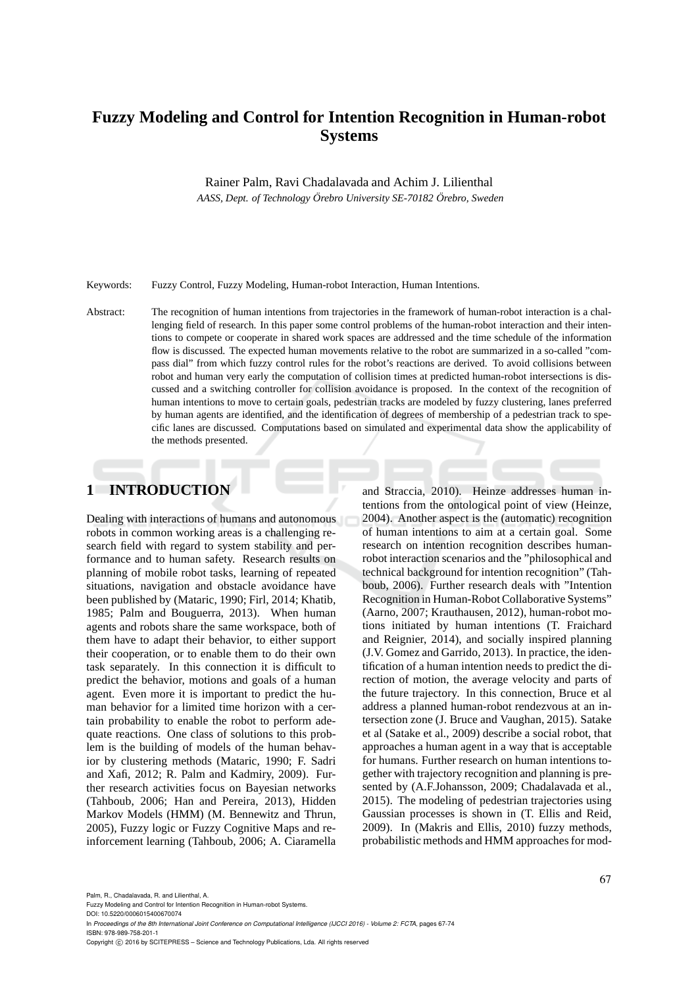# **Fuzzy Modeling and Control for Intention Recognition in Human-robot Systems**

Rainer Palm, Ravi Chadalavada and Achim J. Lilienthal

AASS, Dept. of Technology Örebro University SE-70182 Örebro, Sweden

Keywords: Fuzzy Control, Fuzzy Modeling, Human-robot Interaction, Human Intentions.

Abstract: The recognition of human intentions from trajectories in the framework of human-robot interaction is a challenging field of research. In this paper some control problems of the human-robot interaction and their intentions to compete or cooperate in shared work spaces are addressed and the time schedule of the information flow is discussed. The expected human movements relative to the robot are summarized in a so-called "compass dial" from which fuzzy control rules for the robot's reactions are derived. To avoid collisions between robot and human very early the computation of collision times at predicted human-robot intersections is discussed and a switching controller for collision avoidance is proposed. In the context of the recognition of human intentions to move to certain goals, pedestrian tracks are modeled by fuzzy clustering, lanes preferred by human agents are identified, and the identification of degrees of membership of a pedestrian track to specific lanes are discussed. Computations based on simulated and experimental data show the applicability of the methods presented.

# **1 INTRODUCTION**

Dealing with interactions of humans and autonomous robots in common working areas is a challenging research field with regard to system stability and performance and to human safety. Research results on planning of mobile robot tasks, learning of repeated situations, navigation and obstacle avoidance have been published by (Mataric, 1990; Firl, 2014; Khatib, 1985; Palm and Bouguerra, 2013). When human agents and robots share the same workspace, both of them have to adapt their behavior, to either support their cooperation, or to enable them to do their own task separately. In this connection it is difficult to predict the behavior, motions and goals of a human agent. Even more it is important to predict the human behavior for a limited time horizon with a certain probability to enable the robot to perform adequate reactions. One class of solutions to this problem is the building of models of the human behavior by clustering methods (Mataric, 1990; F. Sadri and Xafi, 2012; R. Palm and Kadmiry, 2009). Further research activities focus on Bayesian networks (Tahboub, 2006; Han and Pereira, 2013), Hidden Markov Models (HMM) (M. Bennewitz and Thrun, 2005), Fuzzy logic or Fuzzy Cognitive Maps and reinforcement learning (Tahboub, 2006; A. Ciaramella

and Straccia, 2010). Heinze addresses human intentions from the ontological point of view (Heinze, 2004). Another aspect is the (automatic) recognition of human intentions to aim at a certain goal. Some research on intention recognition describes humanrobot interaction scenarios and the "philosophical and technical background for intention recognition" (Tahboub, 2006). Further research deals with "Intention Recognition in Human-Robot Collaborative Systems" (Aarno, 2007; Krauthausen, 2012), human-robot motions initiated by human intentions (T. Fraichard and Reignier, 2014), and socially inspired planning (J.V. Gomez and Garrido, 2013). In practice, the identification of a human intention needs to predict the direction of motion, the average velocity and parts of the future trajectory. In this connection, Bruce et al address a planned human-robot rendezvous at an intersection zone (J. Bruce and Vaughan, 2015). Satake et al (Satake et al., 2009) describe a social robot, that approaches a human agent in a way that is acceptable for humans. Further research on human intentions together with trajectory recognition and planning is presented by (A.F.Johansson, 2009; Chadalavada et al., 2015). The modeling of pedestrian trajectories using Gaussian processes is shown in (T. Ellis and Reid, 2009). In (Makris and Ellis, 2010) fuzzy methods, probabilistic methods and HMM approaches for mod-

Palm, R., Chadalavada, R. and Lilienthal, A.

DOI: 10.5220/0006015400670074 In *Proceedings of the 8th International Joint Conference on Computational Intelligence (IJCCI 2016) - Volume 2: FCTA*, pages 67-74 ISBN: 978-989-758-201-1

Fuzzy Modeling and Control for Intention Recognition in Human-robot Systems.

Copyright (C) 2016 by SCITEPRESS - Science and Technology Publications, Lda. All rights reserved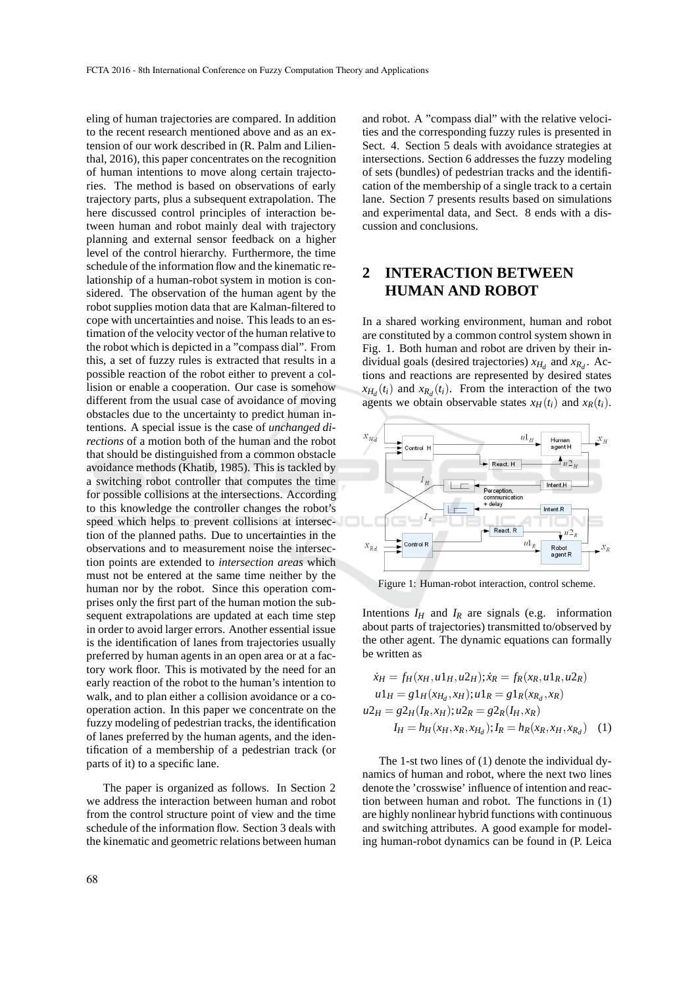eling of human trajectories are compared. In addition to the recent research mentioned above and as an extension of our work described in (R. Palm and Lilienthal, 2016), this paper concentrates on the recognition of human intentions to move along certain trajectories. The method is based on observations of early trajectory parts, plus a subsequent extrapolation. The here discussed control principles of interaction between human and robot mainly deal with trajectory planning and external sensor feedback on a higher level of the control hierarchy. Furthermore, the time schedule of the information flow and the kinematic relationship of a human-robot system in motion is considered. The observation of the human agent by the robot supplies motion data that are Kalman-filtered to cope with uncertainties and noise. This leads to an estimation of the velocity vector of the human relative to the robot which is depicted in a "compass dial". From this, a set of fuzzy rules is extracted that results in a possible reaction of the robot either to prevent a collision or enable a cooperation. Our case is somehow different from the usual case of avoidance of moving obstacles due to the uncertainty to predict human intentions. A special issue is the case of *unchanged directions* of a motion both of the human and the robot that should be distinguished from a common obstacle avoidance methods (Khatib, 1985). This is tackled by a switching robot controller that computes the time for possible collisions at the intersections. According to this knowledge the controller changes the robot's speed which helps to prevent collisions at intersection of the planned paths. Due to uncertainties in the observations and to measurement noise the intersection points are extended to *intersection areas* which must not be entered at the same time neither by the human nor by the robot. Since this operation comprises only the first part of the human motion the subsequent extrapolations are updated at each time step in order to avoid larger errors. Another essential issue is the identification of lanes from trajectories usually preferred by human agents in an open area or at a factory work floor. This is motivated by the need for an early reaction of the robot to the human's intention to walk, and to plan either a collision avoidance or a cooperation action. In this paper we concentrate on the fuzzy modeling of pedestrian tracks, the identification of lanes preferred by the human agents, and the identification of a membership of a pedestrian track (or parts of it) to a specific lane.

The paper is organized as follows. In Section 2 we address the interaction between human and robot from the control structure point of view and the time schedule of the information flow. Section 3 deals with the kinematic and geometric relations between human

and robot. A "compass dial" with the relative velocities and the corresponding fuzzy rules is presented in Sect. 4. Section 5 deals with avoidance strategies at intersections. Section 6 addresses the fuzzy modeling of sets (bundles) of pedestrian tracks and the identification of the membership of a single track to a certain lane. Section 7 presents results based on simulations and experimental data, and Sect. 8 ends with a discussion and conclusions.

# **2 INTERACTION BETWEEN HUMAN AND ROBOT**

In a shared working environment, human and robot are constituted by a common control system shown in Fig. 1. Both human and robot are driven by their individual goals (desired trajectories)  $x_{H_d}$  and  $x_{R_d}$ . Actions and reactions are represented by desired states  $x_{H_d}(t_i)$  and  $x_{R_d}(t_i)$ . From the interaction of the two agents we obtain observable states  $x_H(t_i)$  and  $x_R(t_i)$ .



Figure 1: Human-robot interaction, control scheme.

Intentions  $I_H$  and  $I_R$  are signals (e.g. information about parts of trajectories) transmitted to/observed by the other agent. The dynamic equations can formally be written as

$$
\dot{x}_H = f_H(x_H, u1_H, u2_H); \dot{x}_R = f_R(x_R, u1_R, u2_R)
$$
  
\n
$$
u1_H = g1_H(x_{H_d}, x_H); u1_R = g1_R(x_{R_d}, x_R)
$$
  
\n
$$
u2_H = g2_H(I_R, x_H); u2_R = g2_R(I_H, x_R)
$$
  
\n
$$
I_H = h_H(x_H, x_R, x_{H_d}); I_R = h_R(x_R, x_H, x_{R_d}) \quad (1)
$$

The 1-st two lines of (1) denote the individual dynamics of human and robot, where the next two lines denote the 'crosswise' influence of intention and reaction between human and robot. The functions in (1) are highly nonlinear hybrid functions with continuous and switching attributes. A good example for modeling human-robot dynamics can be found in (P. Leica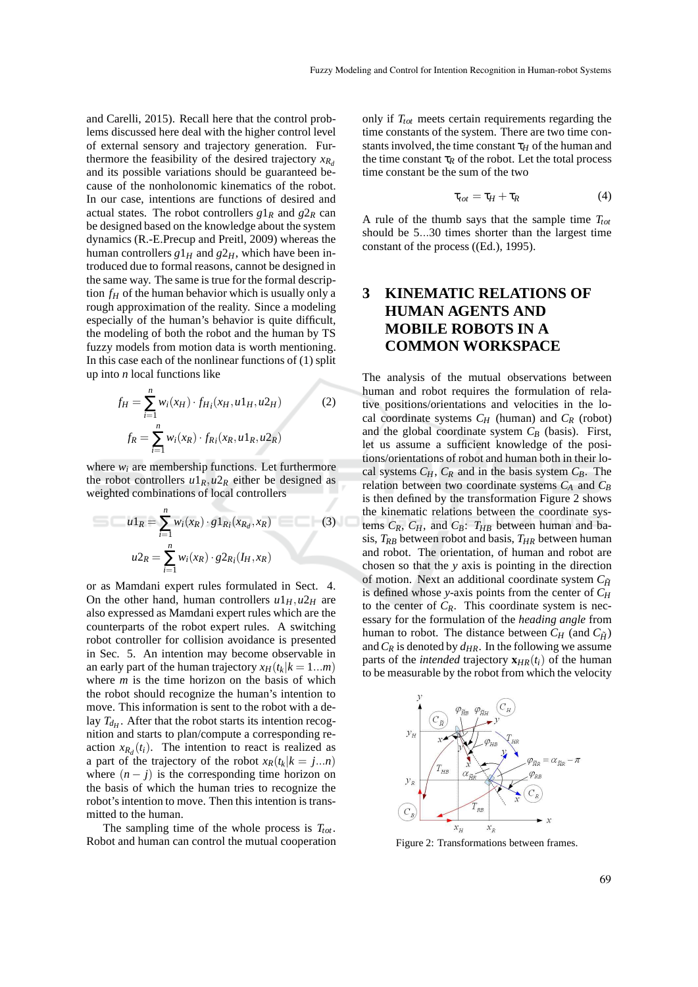and Carelli, 2015). Recall here that the control problems discussed here deal with the higher control level of external sensory and trajectory generation. Furthermore the feasibility of the desired trajectory  $x_{R_d}$ and its possible variations should be guaranteed because of the nonholonomic kinematics of the robot. In our case, intentions are functions of desired and actual states. The robot controllers  $g1_R$  and  $g2_R$  can be designed based on the knowledge about the system dynamics (R.-E.Precup and Preitl, 2009) whereas the human controllers  $g1_H$  and  $g2_H$ , which have been introduced due to formal reasons, cannot be designed in the same way. The same is true for the formal description  $f$ *H* of the human behavior which is usually only a rough approximation of the reality. Since a modeling especially of the human's behavior is quite difficult, the modeling of both the robot and the human by TS fuzzy models from motion data is worth mentioning. In this case each of the nonlinear functions of (1) split up into *n* local functions like

$$
f_H = \sum_{i=1}^n w_i(x_H) \cdot f_{H_i}(x_H, u1_H, u2_H)
$$
  
\n
$$
f_R = \sum_{i=1}^n w_i(x_R) \cdot f_{R_i}(x_R, u1_R, u2_R)
$$
\n(2)

where  $w_i$  are membership functions. Let furthermore the robot controllers  $u1_R$ ,  $u2_R$  either be designed as weighted combinations of local controllers

$$
u1_R = \sum_{i=1}^n w_i(x_R) \cdot g1_{R_i}(x_{R_d}, x_R)
$$
(3)  

$$
u2_R = \sum_{i=1}^n w_i(x_R) \cdot g2_{R_i}(I_H, x_R)
$$

or as Mamdani expert rules formulated in Sect. 4. On the other hand, human controllers  $u1_H$ ,  $u2_H$  are also expressed as Mamdani expert rules which are the counterparts of the robot expert rules. A switching robot controller for collision avoidance is presented in Sec. 5. An intention may become observable in an early part of the human trajectory  $x_H(t_k|k=1...m)$ where *m* is the time horizon on the basis of which the robot should recognize the human's intention to move. This information is sent to the robot with a delay  $T_{dH}$ . After that the robot starts its intention recognition and starts to plan/compute a corresponding reaction  $x_{R_d}(t_i)$ . The intention to react is realized as a part of the trajectory of the robot  $x_R(t_k|k = j...n)$ where  $(n - j)$  is the corresponding time horizon on the basis of which the human tries to recognize the robot's intention to move. Then this intention is transmitted to the human.

The sampling time of the whole process is *Ttot* . Robot and human can control the mutual cooperation only if *Ttot* meets certain requirements regarding the time constants of the system. There are two time constants involved, the time constant  $\tau_H$  of the human and the time constant  $\tau_R$  of the robot. Let the total process time constant be the sum of the two

$$
\tau_{tot} = \tau_H + \tau_R \tag{4}
$$

A rule of the thumb says that the sample time *Ttot* should be 5...30 times shorter than the largest time constant of the process ((Ed.), 1995).

# **3 KINEMATIC RELATIONS OF HUMAN AGENTS AND MOBILE ROBOTS IN A COMMON WORKSPACE**

The analysis of the mutual observations between human and robot requires the formulation of relative positions/orientations and velocities in the local coordinate systems  $C_H$  (human) and  $C_R$  (robot) and the global coordinate system *C<sup>B</sup>* (basis). First, let us assume a sufficient knowledge of the positions/orientations of robot and human both in their local systems  $C_H$ ,  $C_R$  and in the basis system  $C_B$ . The relation between two coordinate systems *C<sup>A</sup>* and *C<sup>B</sup>* is then defined by the transformation Figure 2 shows the kinematic relations between the coordinate systems  $C_R$ ,  $C_H$ , and  $C_B$ :  $T_{HB}$  between human and basis,  $T_{RB}$  between robot and basis,  $T_{HR}$  between human and robot. The orientation, of human and robot are chosen so that the *y* axis is pointing in the direction of motion. Next an additional coordinate system  $C_{\tilde{H}}$ is defined whose *y*-axis points from the center of *C<sup>H</sup>* to the center of  $C_R$ . This coordinate system is necessary for the formulation of the *heading angle* from human to robot. The distance between  $C_H$  (and  $C_{\tilde{H}}$ ) and  $C_R$  is denoted by  $d_{HR}$ . In the following we assume parts of the *intended* trajectory  $\mathbf{x}_{HR}(t_i)$  of the human to be measurable by the robot from which the velocity



Figure 2: Transformations between frames.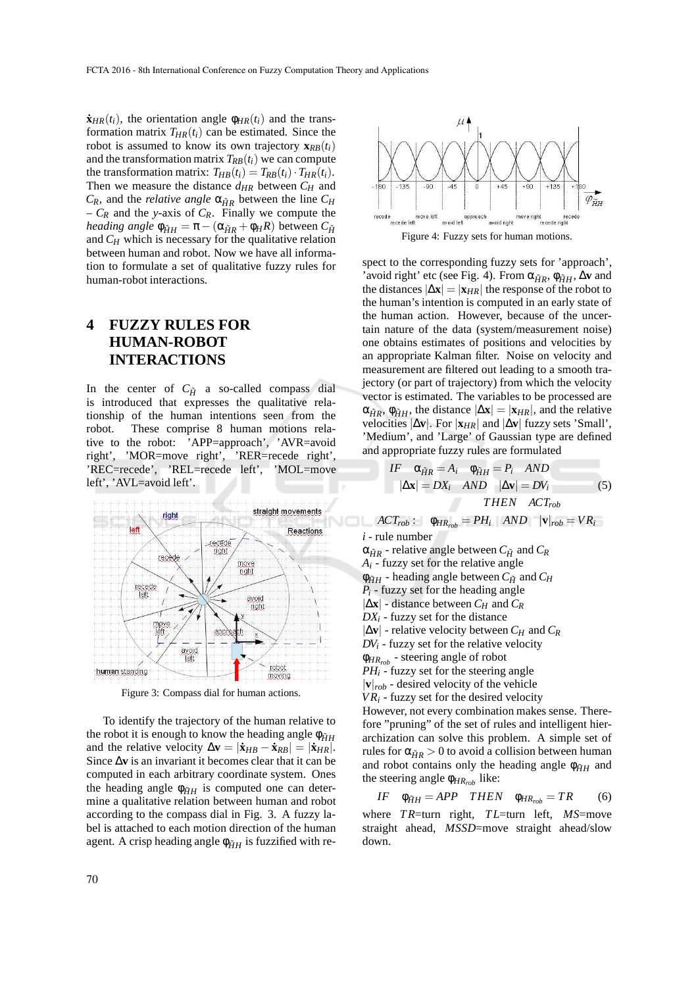$\dot{\mathbf{x}}_{HR}(t_i)$ , the orientation angle  $\phi_{HR}(t_i)$  and the transformation matrix  $T_{HR}(t_i)$  can be estimated. Since the robot is assumed to know its own trajectory  $\mathbf{x}_{RB}(t_i)$ and the transformation matrix  $T_{RB}(t_i)$  we can compute the transformation matrix:  $T_{HB}(t_i) = T_{RB}(t_i) \cdot T_{HR}(t_i)$ . Then we measure the distance *dHR* between *C<sup>H</sup>* and  $C_R$ , and the *relative angle*  $\alpha_{\tilde{H}R}$  between the line  $C_H$  $-C_R$  and the *y*-axis of  $C_R$ . Finally we compute the *heading angle*  $\phi_{\tilde{H}H} = \pi - (\alpha_{\tilde{H}R} + \phi_H R)$  between  $C_{\tilde{H}}$ and *C<sup>H</sup>* which is necessary for the qualitative relation between human and robot. Now we have all information to formulate a set of qualitative fuzzy rules for human-robot interactions.

# **4 FUZZY RULES FOR HUMAN-ROBOT INTERACTIONS**

In the center of  $C_{\tilde{H}}$  a so-called compass dial is introduced that expresses the qualitative relationship of the human intentions seen from the robot. These comprise 8 human motions relative to the robot: 'APP=approach', 'AVR=avoid right', 'MOR=move right', 'RER=recede right', 'REC=recede', 'REL=recede left', 'MOL=move left', 'AVL=avoid left'.



Figure 3: Compass dial for human actions.

To identify the trajectory of the human relative to the robot it is enough to know the heading angle  $\phi_{\tilde{H}H}$ and the relative velocity  $\Delta \mathbf{v} = |\dot{\mathbf{x}}_{HB} - \dot{\mathbf{x}}_{RB}| = |\dot{\mathbf{x}}_{HR}|.$ Since ∆**v** is an invariant it becomes clear that it can be computed in each arbitrary coordinate system. Ones the heading angle  $\phi_{\tilde{H}H}$  is computed one can determine a qualitative relation between human and robot according to the compass dial in Fig. 3. A fuzzy label is attached to each motion direction of the human agent. A crisp heading angle  $\phi_{\tilde{H}H}$  is fuzzified with re-



spect to the corresponding fuzzy sets for 'approach', 'avoid right' etc (see Fig. 4). From  $\alpha_{\tilde{H}R}$ ,  $\phi_{\tilde{H}H}$ ,  $\Delta v$  and the distances  $|\Delta \mathbf{x}| = |\mathbf{x}_{HR}|$  the response of the robot to the human's intention is computed in an early state of the human action. However, because of the uncertain nature of the data (system/measurement noise) one obtains estimates of positions and velocities by an appropriate Kalman filter. Noise on velocity and measurement are filtered out leading to a smooth trajectory (or part of trajectory) from which the velocity vector is estimated. The variables to be processed are  $\alpha_{\tilde{H}R}$ ,  $\phi_{\tilde{H}H}$ , the distance  $|\Delta \mathbf{x}| = |\mathbf{x}_{HR}|$ , and the relative velocities  $|\Delta$ **v**. For  $|\mathbf{x}_{HR}|$  and  $|\Delta$ **v** fuzzy sets 'Small', 'Medium', and 'Large' of Gaussian type are defined and appropriate fuzzy rules are formulated

$$
IF \quad \alpha_{\tilde{H}R} = A_i \quad \phi_{\tilde{H}H} = P_i \quad AND
$$
\n
$$
|\Delta \mathbf{x}| = DX_i \quad AND \quad |\Delta \mathbf{v}| = DV_i \tag{5}
$$
\n
$$
THEN \quad ACT_{rob}
$$
\n
$$
ACT_{rob} : \quad \phi_{HR_{rob}} = PH_i \quad AND \quad |\mathbf{v}|_{rob} = VR_i
$$

*i* - rule number

 $\alpha_{\tilde{H}R}$  - relative angle between  $C_{\tilde{H}}$  and  $C_R$  $A_i$  - fuzzy set for the relative angle  $\phi_{\tilde{H}H}$  - heading angle between  $C_{\tilde{H}}$  and  $C_H$ *P<sup>i</sup>* - fuzzy set for the heading angle  $|\Delta \mathbf{x}|$  - distance between  $C_H$  and  $C_R$  $DX_i$  - fuzzy set for the distance  $|\Delta$ **v**| - relative velocity between  $C_H$  and  $C_R$  $DV_i$  - fuzzy set for the relative velocity φ*HRrob* - steering angle of robot *PH<sup>i</sup>* - fuzzy set for the steering angle  $|\mathbf{v}|_{rob}$  - desired velocity of the vehicle  $VR<sub>i</sub>$  - fuzzy set for the desired velocity However, not every combination makes sense. There-

fore "pruning" of the set of rules and intelligent hierarchization can solve this problem. A simple set of rules for  $\alpha_{\tilde{H}R} > 0$  to avoid a collision between human and robot contains only the heading angle  $\phi_{\tilde{H}H}$  and the steering angle φ*HRrob* like:

$$
IF \quad \phi_{\tilde{H}H} = APP \quad THEN \quad \phi_{HR_{rob}} = TR \qquad (6)
$$

where *T R*=turn right, *T L*=turn left, *MS*=move straight ahead, *MSSD*=move straight ahead/slow down.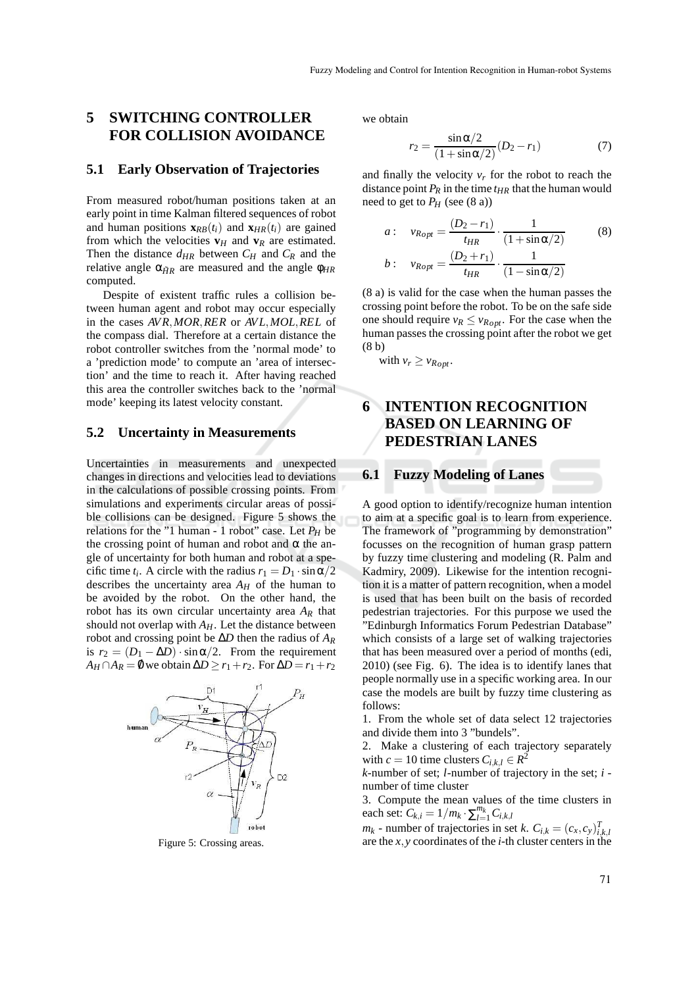## **5 SWITCHING CONTROLLER FOR COLLISION AVOIDANCE**

#### **5.1 Early Observation of Trajectories**

From measured robot/human positions taken at an early point in time Kalman filtered sequences of robot and human positions  $\mathbf{x}_{RB}(t_i)$  and  $\mathbf{x}_{HR}(t_i)$  are gained from which the velocities  $\mathbf{v}_H$  and  $\mathbf{v}_R$  are estimated. Then the distance  $d_{HR}$  between  $C_H$  and  $C_R$  and the relative angle  $\alpha_{\tilde{H}R}$  are measured and the angle  $\phi_{HR}$ computed.

Despite of existent traffic rules a collision between human agent and robot may occur especially in the cases *AVR*,*MOR*,*RER* or *AVL*,*MOL*,*REL* of the compass dial. Therefore at a certain distance the robot controller switches from the 'normal mode' to a 'prediction mode' to compute an 'area of intersection' and the time to reach it. After having reached this area the controller switches back to the 'normal mode' keeping its latest velocity constant.

#### **5.2 Uncertainty in Measurements**

Uncertainties in measurements and unexpected changes in directions and velocities lead to deviations in the calculations of possible crossing points. From simulations and experiments circular areas of possible collisions can be designed. Figure 5 shows the relations for the "1 human - 1 robot" case. Let *P<sup>H</sup>* be the crossing point of human and robot and  $\alpha$  the angle of uncertainty for both human and robot at a specific time  $t_i$ . A circle with the radius  $r_1 = D_1 \cdot \sin \alpha/2$ describes the uncertainty area  $A_H$  of the human to be avoided by the robot. On the other hand, the robot has its own circular uncertainty area  $A_R$  that should not overlap with *AH*. Let the distance between robot and crossing point be ∆*D* then the radius of *A<sup>R</sup>* is  $r_2 = (D_1 - \Delta D) \cdot \sin \alpha/2$ . From the requirement  $A_H \cap A_R = \emptyset$  we obtain  $\Delta D \ge r_1 + r_2$ . For  $\Delta D = r_1 + r_2$ 



Figure 5: Crossing areas.

we obtain

$$
r_2 = \frac{\sin \alpha/2}{(1 + \sin \alpha/2)} (D_2 - r_1)
$$
 (7)

and finally the velocity  $v_r$  for the robot to reach the distance point  $P_R$  in the time  $t_{HR}$  that the human would need to get to  $P_H$  (see (8 a))

$$
a: \quad v_{Ropt} = \frac{(D_2 - r_1)}{t_{HR}} \cdot \frac{1}{(1 + \sin \alpha/2)}
$$
\n
$$
b: \quad v_{Ropt} = \frac{(D_2 + r_1)}{t_{HR}} \cdot \frac{1}{(1 - \sin \alpha/2)}
$$
\n
$$
(8)
$$

(8 a) is valid for the case when the human passes the crossing point before the robot. To be on the safe side one should require  $v_R \le v_{Ropt}$ . For the case when the human passes the crossing point after the robot we get (8 b)

with  $v_r \ge v_{Root}$ .

# **6 INTENTION RECOGNITION BASED ON LEARNING OF PEDESTRIAN LANES**

#### **6.1 Fuzzy Modeling of Lanes**

A good option to identify/recognize human intention to aim at a specific goal is to learn from experience. The framework of "programming by demonstration" focusses on the recognition of human grasp pattern by fuzzy time clustering and modeling (R. Palm and Kadmiry, 2009). Likewise for the intention recognition it is a matter of pattern recognition, when a model is used that has been built on the basis of recorded pedestrian trajectories. For this purpose we used the "Edinburgh Informatics Forum Pedestrian Database" which consists of a large set of walking trajectories that has been measured over a period of months (edi, 2010) (see Fig. 6). The idea is to identify lanes that people normally use in a specific working area. In our case the models are built by fuzzy time clustering as follows:

1. From the whole set of data select 12 trajectories and divide them into 3 "bundels".

2. Make a clustering of each trajectory separately with  $c = 10$  time clusters  $C_{i,k,l} \in \mathbb{R}^2$ 

*k*-number of set; *l*-number of trajectory in the set; *i* number of time cluster

3. Compute the mean values of the time clusters in each set:  $C_{k,i} = 1/m_k \cdot \sum_{l=1}^{m_k} C_{i,k,l}$ 

 $m_k$  - number of trajectories in set *k*.  $C_{i,k} = (c_x, c_y)_{i,k,i}^T$ are the *x*,*y* coordinates of the *i*-th cluster centers in the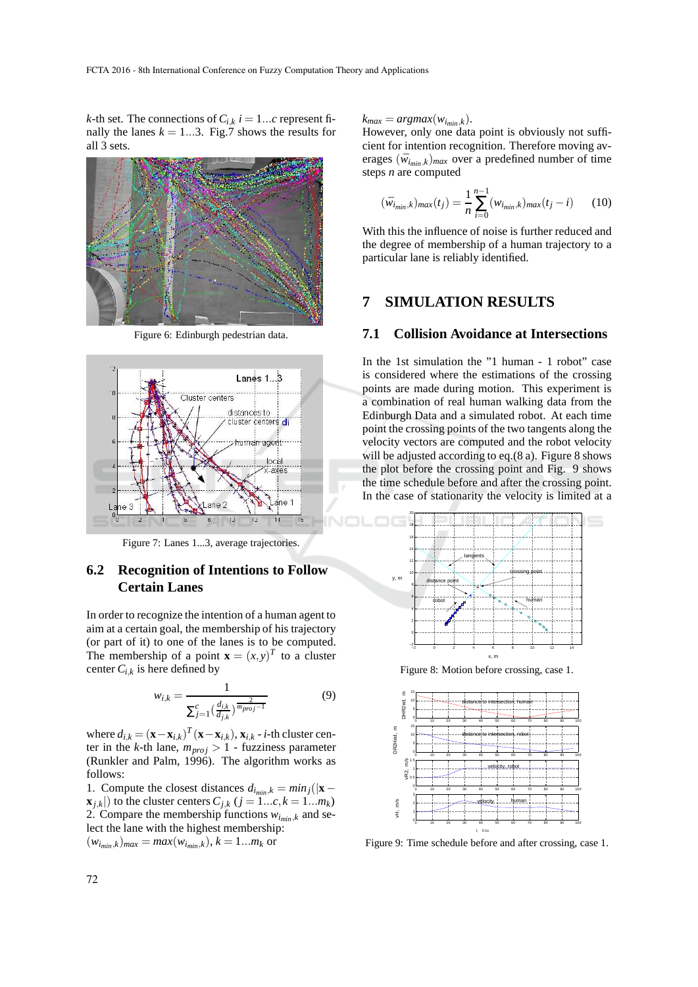*k*-th set. The connections of  $C_{i,k}$   $i = 1...c$  represent finally the lanes  $k = 1...3$ . Fig.7 shows the results for all 3 sets.



Figure 6: Edinburgh pedestrian data.



Figure 7: Lanes 1...3, average trajectories.

### **6.2 Recognition of Intentions to Follow Certain Lanes**

In order to recognize the intention of a human agent to aim at a certain goal, the membership of his trajectory (or part of it) to one of the lanes is to be computed. The membership of a point  $\mathbf{x} = (x, y)^T$  to a cluster center  $C_{i,k}$  is here defined by

$$
w_{i,k} = \frac{1}{\sum_{j=1}^{c} \left(\frac{d_{i,k}}{d_{j,k}}\right)^{\frac{2}{m_{proj}-1}}}
$$
(9)

where  $d_{i,k} = (\mathbf{x} - \mathbf{x}_{i,k})^T (\mathbf{x} - \mathbf{x}_{i,k}), \mathbf{x}_{i,k} - i$ -th cluster center in the *k*-th lane,  $m_{proj} > 1$  - fuzziness parameter (Runkler and Palm, 1996). The algorithm works as follows:

1. Compute the closest distances  $d_{i_{min},k} = min_j(|\mathbf{x} - \mathbf{z}|)$  $\mathbf{x}_{i,k}$ ) to the cluster centers  $C_{i,k}$  ( $j = 1...c, k = 1...m_k$ ) 2. Compare the membership functions  $w_{i_{min},k}$  and select the lane with the highest membership:  $(w_{i_{min},k})_{max} = max(w_{i_{min},k}), k = 1...m_k$  or

 $k_{max} = argmax(w_{i_{min},k}).$ 

However, only one data point is obviously not sufficient for intention recognition. Therefore moving averages  $(\bar{w}_{i_{min},k})_{max}$  over a predefined number of time steps *n* are computed

$$
(\bar{w}_{i_{min},k})_{max}(t_j) = \frac{1}{n} \sum_{i=0}^{n-1} (w_{i_{min},k})_{max}(t_j - i)
$$
 (10)

With this the influence of noise is further reduced and the degree of membership of a human trajectory to a particular lane is reliably identified.

### **7 SIMULATION RESULTS**

#### **7.1 Collision Avoidance at Intersections**

In the 1st simulation the "1 human - 1 robot" case is considered where the estimations of the crossing points are made during motion. This experiment is a combination of real human walking data from the Edinburgh Data and a simulated robot. At each time point the crossing points of the two tangents along the velocity vectors are computed and the robot velocity will be adjusted according to eq.(8 a). Figure 8 shows the plot before the crossing point and Fig. 9 shows the time schedule before and after the crossing point. In the case of stationarity the velocity is limited at a



Figure 8: Motion before crossing, case 1.



Figure 9: Time schedule before and after crossing, case 1.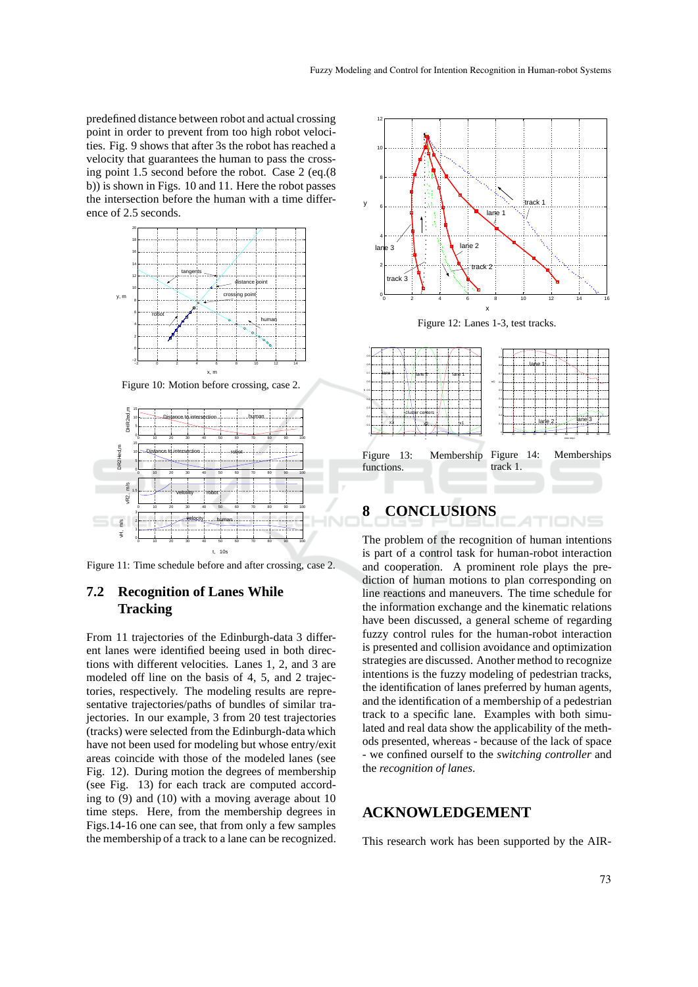predefined distance between robot and actual crossing point in order to prevent from too high robot velocities. Fig. 9 shows that after 3s the robot has reached a velocity that guarantees the human to pass the crossing point 1.5 second before the robot. Case 2 (eq.(8 b)) is shown in Figs. 10 and 11. Here the robot passes the intersection before the human with a time difference of 2.5 seconds.



Figure 10: Motion before crossing, case 2.



Figure 11: Time schedule before and after crossing, case 2.

### **7.2 Recognition of Lanes While Tracking**

From 11 trajectories of the Edinburgh-data 3 different lanes were identified beeing used in both directions with different velocities. Lanes 1, 2, and 3 are modeled off line on the basis of 4, 5, and 2 trajectories, respectively. The modeling results are representative trajectories/paths of bundles of similar trajectories. In our example, 3 from 20 test trajectories (tracks) were selected from the Edinburgh-data which have not been used for modeling but whose entry/exit areas coincide with those of the modeled lanes (see Fig. 12). During motion the degrees of membership (see Fig. 13) for each track are computed according to (9) and (10) with a moving average about 10 time steps. Here, from the membership degrees in Figs.14-16 one can see, that from only a few samples the membership of a track to a lane can be recognized.



Figure 12: Lanes 1-3, test tracks.



# **8 CONCLUSIONS**

The problem of the recognition of human intentions is part of a control task for human-robot interaction and cooperation. A prominent role plays the prediction of human motions to plan corresponding on line reactions and maneuvers. The time schedule for the information exchange and the kinematic relations have been discussed, a general scheme of regarding fuzzy control rules for the human-robot interaction is presented and collision avoidance and optimization strategies are discussed. Another method to recognize intentions is the fuzzy modeling of pedestrian tracks, the identification of lanes preferred by human agents, and the identification of a membership of a pedestrian track to a specific lane. Examples with both simulated and real data show the applicability of the methods presented, whereas - because of the lack of space - we confined ourself to the *switching controller* and the *recognition of lanes*.

#### **ACKNOWLEDGEMENT**

This research work has been supported by the AIR-